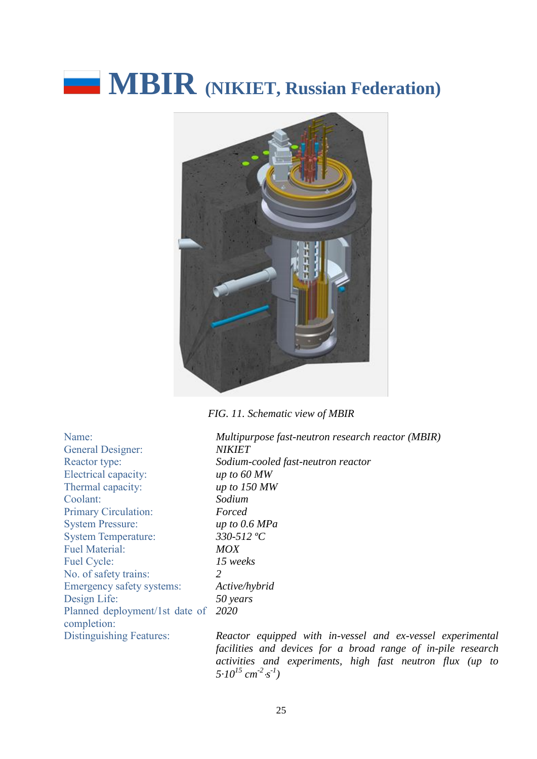# **MBIR** (NIKIET, Russian Federation)



*FIG. 11. Schematic view of MBIR*

General Designer: Electrical capacity: *up to 60 MW* Thermal capacity: *up to 150 MW* Coolant: *Sodium* Primary Circulation: *Forced* System Pressure: *up to 0.6 MPa* System Temperature: *330-512 ºC* Fuel Material: *MOX* Fuel Cycle: *15 weeks* No. of safety trains: *2* Emergency safety systems: *Active/hybrid* Design Life: *50 years* Planned deployment/1st date of *2020* completion:

Name: *Multipurpose fast-neutron research reactor (MBIR)* General Designer: *NIKIET* Reactor type: *Sodium-cooled fast-neutron reactor*

Distinguishing Features: *Reactor equipped with in-vessel and ex-vessel experimental facilities and devices for a broad range of in-pile research activities and experiments, high fast neutron flux (up to*   $5.10^{15}$  cm<sup>-2</sup>·s<sup>-1</sup>)